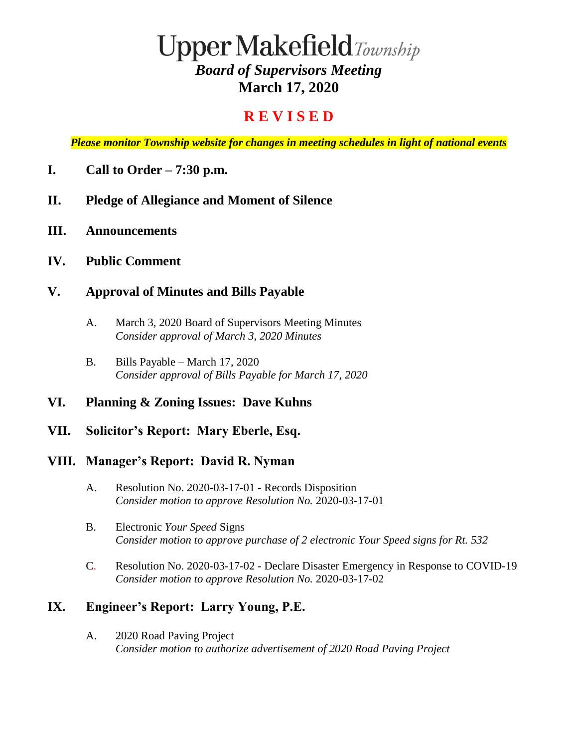# $\bf Upper Make field$ Township *Board of Supervisors Meeting* **March 17, 2020**

## **R E V I S E D**

*Please monitor Township website for changes in meeting schedules in light of national events*

- **I. Call to Order – 7:30 p.m.**
- **II. Pledge of Allegiance and Moment of Silence**
- **III. Announcements**
- **IV. Public Comment**

#### **V. Approval of Minutes and Bills Payable**

- A. March 3, 2020 Board of Supervisors Meeting Minutes *Consider approval of March 3, 2020 Minutes*
- B. Bills Payable March 17, 2020 *Consider approval of Bills Payable for March 17, 2020*

#### **VI. Planning & Zoning Issues: Dave Kuhns**

**VII. Solicitor's Report: Mary Eberle, Esq.**

#### **VIII. Manager's Report: David R. Nyman**

- A. Resolution No. 2020-03-17-01 Records Disposition *Consider motion to approve Resolution No.* 2020-03-17-01
- B. Electronic *Your Speed* Signs *Consider motion to approve purchase of 2 electronic Your Speed signs for Rt. 532*
- C. Resolution No. 2020-03-17-02 Declare Disaster Emergency in Response to COVID-19 *Consider motion to approve Resolution No.* 2020-03-17-02

## **IX. Engineer's Report: Larry Young, P.E.**

A. 2020 Road Paving Project *Consider motion to authorize advertisement of 2020 Road Paving Project*